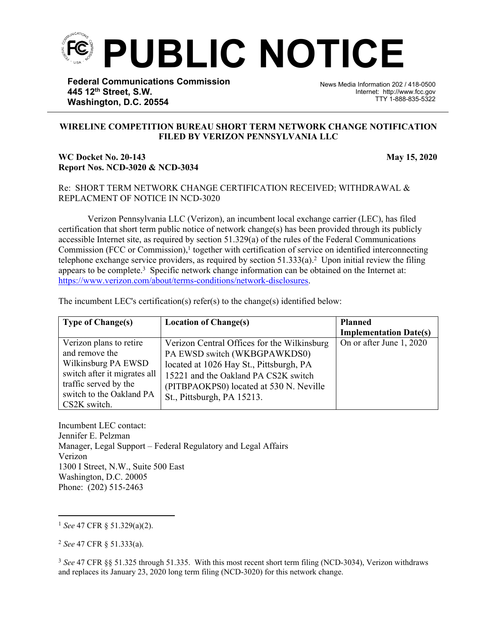

**Federal Communications Commission 445 12th Street, S.W. Washington, D.C. 20554**

News Media Information 202 / 418-0500 Internet: http://www.fcc.gov TTY 1-888-835-5322

## **WIRELINE COMPETITION BUREAU SHORT TERM NETWORK CHANGE NOTIFICATION FILED BY VERIZON PENNSYLVANIA LLC**

֡֡֡֡

## **WC Docket No. 20-143 May 15, 2020 Report Nos. NCD-3020 & NCD-3034**

## Re: SHORT TERM NETWORK CHANGE CERTIFICATION RECEIVED; WITHDRAWAL & REPLACMENT OF NOTICE IN NCD-3020

Verizon Pennsylvania LLC (Verizon), an incumbent local exchange carrier (LEC), has filed certification that short term public notice of network change(s) has been provided through its publicly accessible Internet site, as required by section 51.329(a) of the rules of the Federal Communications Commission (FCC or Commission),<sup>1</sup> together with certification of service on identified interconnecting telephone exchange service providers, as required by section  $51.333(a)$ .<sup>2</sup> Upon initial review the filing appears to be complete.<sup>3</sup> Specific network change information can be obtained on the Internet at: [https://www.verizon.com/about/terms-conditions/network-disclosures.](https://www.verizon.com/about/terms-conditions/network-disclosures)

The incumbent LEC's certification(s) refer(s) to the change(s) identified below:

| <b>Type of Change(s)</b>     | <b>Location of Change(s)</b>                | <b>Planned</b>                |
|------------------------------|---------------------------------------------|-------------------------------|
|                              |                                             | <b>Implementation Date(s)</b> |
| Verizon plans to retire      | Verizon Central Offices for the Wilkinsburg | On or after June 1, 2020      |
| and remove the               | PA EWSD switch (WKBGPAWKDS0)                |                               |
| Wilkinsburg PA EWSD          | located at 1026 Hay St., Pittsburgh, PA     |                               |
| switch after it migrates all | 15221 and the Oakland PA CS2K switch        |                               |
| traffic served by the        | (PITBPAOKPS0) located at 530 N. Neville     |                               |
| switch to the Oakland PA     | St., Pittsburgh, PA 15213.                  |                               |
| CS2K switch.                 |                                             |                               |

Incumbent LEC contact: Jennifer E. Pelzman Manager, Legal Support – Federal Regulatory and Legal Affairs Verizon 1300 I Street, N.W., Suite 500 East Washington, D.C. 20005 Phone: (202) 515-2463

<sup>1</sup> *See* 47 CFR § 51.329(a)(2).

<sup>2</sup> *See* 47 CFR § 51.333(a).

<sup>3</sup> *See* 47 CFR §§ 51.325 through 51.335. With this most recent short term filing (NCD-3034), Verizon withdraws and replaces its January 23, 2020 long term filing (NCD-3020) for this network change.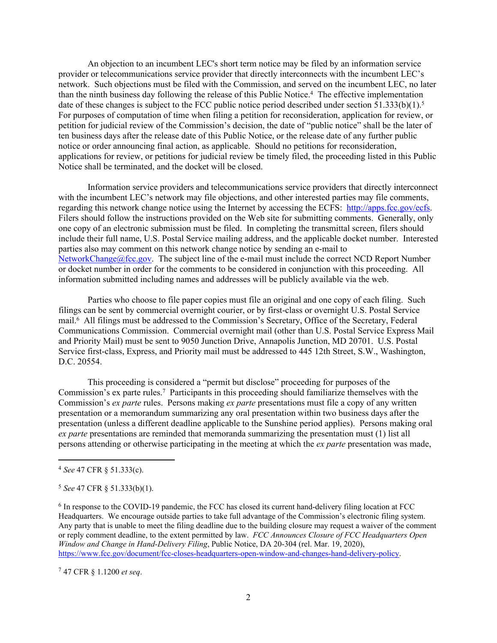An objection to an incumbent LEC's short term notice may be filed by an information service provider or telecommunications service provider that directly interconnects with the incumbent LEC's network. Such objections must be filed with the Commission, and served on the incumbent LEC, no later than the ninth business day following the release of this Public Notice.<sup>4</sup> The effective implementation date of these changes is subject to the FCC public notice period described under section 51.333(b)(1).<sup>5</sup> For purposes of computation of time when filing a petition for reconsideration, application for review, or petition for judicial review of the Commission's decision, the date of "public notice" shall be the later of ten business days after the release date of this Public Notice, or the release date of any further public notice or order announcing final action, as applicable. Should no petitions for reconsideration, applications for review, or petitions for judicial review be timely filed, the proceeding listed in this Public Notice shall be terminated, and the docket will be closed.

Information service providers and telecommunications service providers that directly interconnect with the incumbent LEC's network may file objections, and other interested parties may file comments, regarding this network change notice using the Internet by accessing the ECFS: [http://apps.fcc.gov/ecfs.](http://apps.fcc.gov/ecfs) Filers should follow the instructions provided on the Web site for submitting comments. Generally, only one copy of an electronic submission must be filed. In completing the transmittal screen, filers should include their full name, U.S. Postal Service mailing address, and the applicable docket number. Interested parties also may comment on this network change notice by sending an e-mail to [NetworkChange@fcc.gov.](mailto:NetworkChange@fcc.gov) The subject line of the e-mail must include the correct NCD Report Number or docket number in order for the comments to be considered in conjunction with this proceeding. All information submitted including names and addresses will be publicly available via the web.

Parties who choose to file paper copies must file an original and one copy of each filing. Such filings can be sent by commercial overnight courier, or by first-class or overnight U.S. Postal Service mail.<sup>6</sup> All filings must be addressed to the Commission's Secretary, Office of the Secretary, Federal Communications Commission. Commercial overnight mail (other than U.S. Postal Service Express Mail and Priority Mail) must be sent to 9050 Junction Drive, Annapolis Junction, MD 20701. U.S. Postal Service first-class, Express, and Priority mail must be addressed to 445 12th Street, S.W., Washington, D.C. 20554.

This proceeding is considered a "permit but disclose" proceeding for purposes of the Commission's ex parte rules.<sup>7</sup> Participants in this proceeding should familiarize themselves with the Commission's *ex parte* rules. Persons making *ex parte* presentations must file a copy of any written presentation or a memorandum summarizing any oral presentation within two business days after the presentation (unless a different deadline applicable to the Sunshine period applies). Persons making oral *ex parte* presentations are reminded that memoranda summarizing the presentation must (1) list all persons attending or otherwise participating in the meeting at which the *ex parte* presentation was made,

<sup>7</sup> 47 CFR § 1.1200 *et seq*.

<sup>4</sup> *See* 47 CFR § 51.333(c).

<sup>5</sup> *See* 47 CFR § 51.333(b)(1).

<sup>&</sup>lt;sup>6</sup> In response to the COVID-19 pandemic, the FCC has closed its current hand-delivery filing location at FCC Headquarters. We encourage outside parties to take full advantage of the Commission's electronic filing system. Any party that is unable to meet the filing deadline due to the building closure may request a waiver of the comment or reply comment deadline, to the extent permitted by law. *FCC Announces Closure of FCC Headquarters Open Window and Change in Hand-Delivery Filing*, Public Notice, DA 20-304 (rel. Mar. 19, 2020), [https://www.fcc.gov/document/fcc-closes-headquarters-open-window-and-changes-hand-delivery-policy.](https://www.fcc.gov/document/fcc-closes-headquarters-open-window-and-changes-hand-delivery-policy)